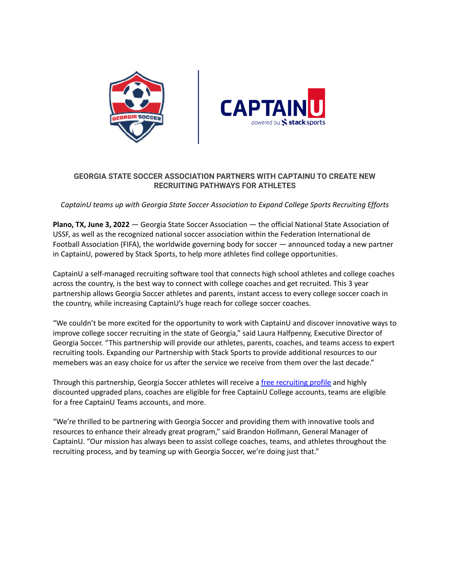



## **GEORGIA STATE SOCCER ASSOCIATION PARTNERS WITH CAPTAINU TO CREATE NEW RECRUITING PATHWAYS FOR ATHLETES**

*CaptainU teams up with Georgia State Soccer Association to Expand College Sports Recruiting Efforts*

**Plano, TX, June 3, 2022** — Georgia State Soccer Association — the official National State Association of USSF, as well as the recognized national soccer association within the Federation International de Football Association (FIFA), the worldwide governing body for soccer — announced today a new partner in CaptainU, powered by Stack Sports, to help more athletes find college opportunities.

CaptainU a self-managed recruiting software tool that connects high school athletes and college coaches across the country, is the best way to connect with college coaches and get recruited. This 3 year partnership allows Georgia Soccer athletes and parents, instant access to every college soccer coach in the country, while increasing CaptainU's huge reach for college soccer coaches.

"We couldn't be more excited for the opportunity to work with CaptainU and discover innovative ways to improve college soccer recruiting in the state of Georgia," said Laura Halfpenny, Executive Director of Georgia Soccer. "This partnership will provide our athletes, parents, coaches, and teams access to expert recruiting tools. Expanding our Partnership with Stack Sports to provide additional resources to our memebers was an easy choice for us after the service we receive from them over the last decade."

Through this partnership, Georgia Soccer athletes will receive a free [recruiting](https://www.captainu.com/get-started?tag=event&event_id=265072&campaign=webinfo&sport=soccer) profile and highly discounted upgraded plans, coaches are eligible for free CaptainU College accounts, teams are eligible for a free CaptainU Teams accounts, and more.

"We're thrilled to be partnering with Georgia Soccer and providing them with innovative tools and resources to enhance their already great program," said Brandon Hollmann, General Manager of CaptainU. "Our mission has always been to assist college coaches, teams, and athletes throughout the recruiting process, and by teaming up with Georgia Soccer, we're doing just that."